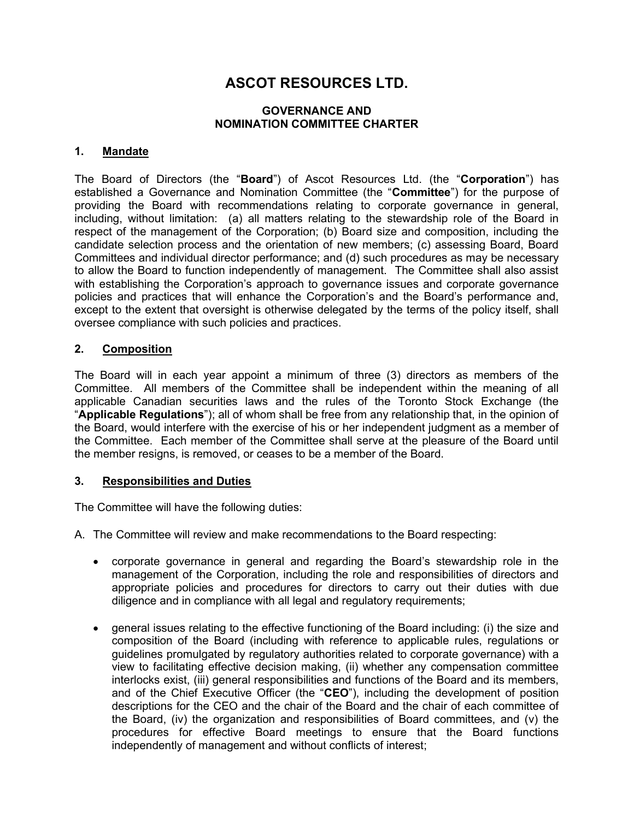# ASCOT RESOURCES LTD.

## GOVERNANCE AND NOMINATION COMMITTEE CHARTER

## 1. Mandate

The Board of Directors (the "Board") of Ascot Resources Ltd. (the "Corporation") has established a Governance and Nomination Committee (the "Committee") for the purpose of providing the Board with recommendations relating to corporate governance in general, including, without limitation: (a) all matters relating to the stewardship role of the Board in respect of the management of the Corporation; (b) Board size and composition, including the candidate selection process and the orientation of new members; (c) assessing Board, Board Committees and individual director performance; and (d) such procedures as may be necessary to allow the Board to function independently of management. The Committee shall also assist with establishing the Corporation's approach to governance issues and corporate governance policies and practices that will enhance the Corporation's and the Board's performance and, except to the extent that oversight is otherwise delegated by the terms of the policy itself, shall oversee compliance with such policies and practices.

## 2. Composition

The Board will in each year appoint a minimum of three (3) directors as members of the Committee. All members of the Committee shall be independent within the meaning of all applicable Canadian securities laws and the rules of the Toronto Stock Exchange (the "Applicable Regulations"); all of whom shall be free from any relationship that, in the opinion of the Board, would interfere with the exercise of his or her independent judgment as a member of the Committee. Each member of the Committee shall serve at the pleasure of the Board until the member resigns, is removed, or ceases to be a member of the Board.

#### 3. Responsibilities and Duties

The Committee will have the following duties:

- A. The Committee will review and make recommendations to the Board respecting:
	- corporate governance in general and regarding the Board's stewardship role in the management of the Corporation, including the role and responsibilities of directors and appropriate policies and procedures for directors to carry out their duties with due diligence and in compliance with all legal and regulatory requirements;
	- general issues relating to the effective functioning of the Board including: (i) the size and composition of the Board (including with reference to applicable rules, regulations or guidelines promulgated by regulatory authorities related to corporate governance) with a view to facilitating effective decision making, (ii) whether any compensation committee interlocks exist, (iii) general responsibilities and functions of the Board and its members, and of the Chief Executive Officer (the "CEO"), including the development of position descriptions for the CEO and the chair of the Board and the chair of each committee of the Board, (iv) the organization and responsibilities of Board committees, and (v) the procedures for effective Board meetings to ensure that the Board functions independently of management and without conflicts of interest;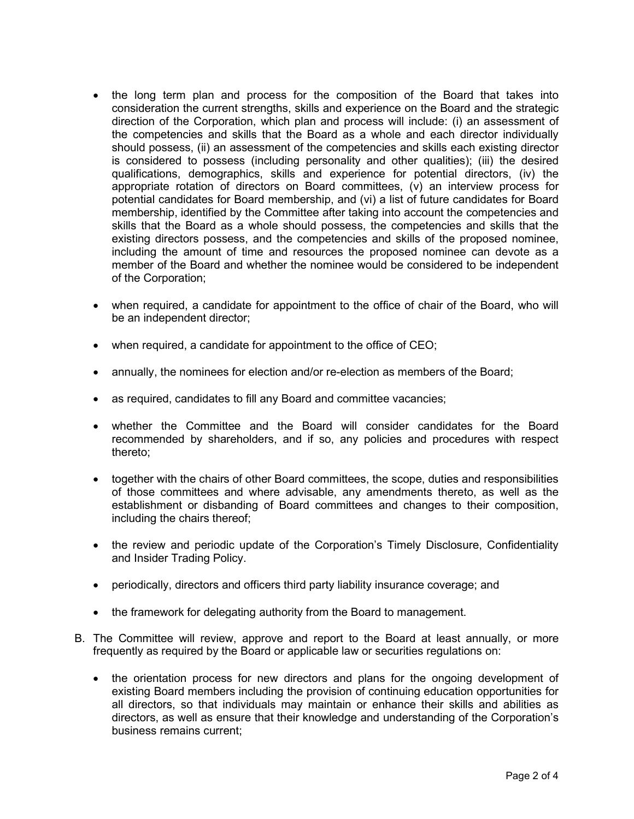- the long term plan and process for the composition of the Board that takes into consideration the current strengths, skills and experience on the Board and the strategic direction of the Corporation, which plan and process will include: (i) an assessment of the competencies and skills that the Board as a whole and each director individually should possess, (ii) an assessment of the competencies and skills each existing director is considered to possess (including personality and other qualities); (iii) the desired qualifications, demographics, skills and experience for potential directors, (iv) the appropriate rotation of directors on Board committees, (v) an interview process for potential candidates for Board membership, and (vi) a list of future candidates for Board membership, identified by the Committee after taking into account the competencies and skills that the Board as a whole should possess, the competencies and skills that the existing directors possess, and the competencies and skills of the proposed nominee, including the amount of time and resources the proposed nominee can devote as a member of the Board and whether the nominee would be considered to be independent of the Corporation;
- when required, a candidate for appointment to the office of chair of the Board, who will be an independent director;
- when required, a candidate for appointment to the office of CEO;
- annually, the nominees for election and/or re-election as members of the Board;
- as required, candidates to fill any Board and committee vacancies;
- whether the Committee and the Board will consider candidates for the Board recommended by shareholders, and if so, any policies and procedures with respect thereto;
- together with the chairs of other Board committees, the scope, duties and responsibilities of those committees and where advisable, any amendments thereto, as well as the establishment or disbanding of Board committees and changes to their composition, including the chairs thereof;
- the review and periodic update of the Corporation's Timely Disclosure, Confidentiality and Insider Trading Policy.
- periodically, directors and officers third party liability insurance coverage; and
- the framework for delegating authority from the Board to management.
- B. The Committee will review, approve and report to the Board at least annually, or more frequently as required by the Board or applicable law or securities regulations on:
	- the orientation process for new directors and plans for the ongoing development of existing Board members including the provision of continuing education opportunities for all directors, so that individuals may maintain or enhance their skills and abilities as directors, as well as ensure that their knowledge and understanding of the Corporation's business remains current;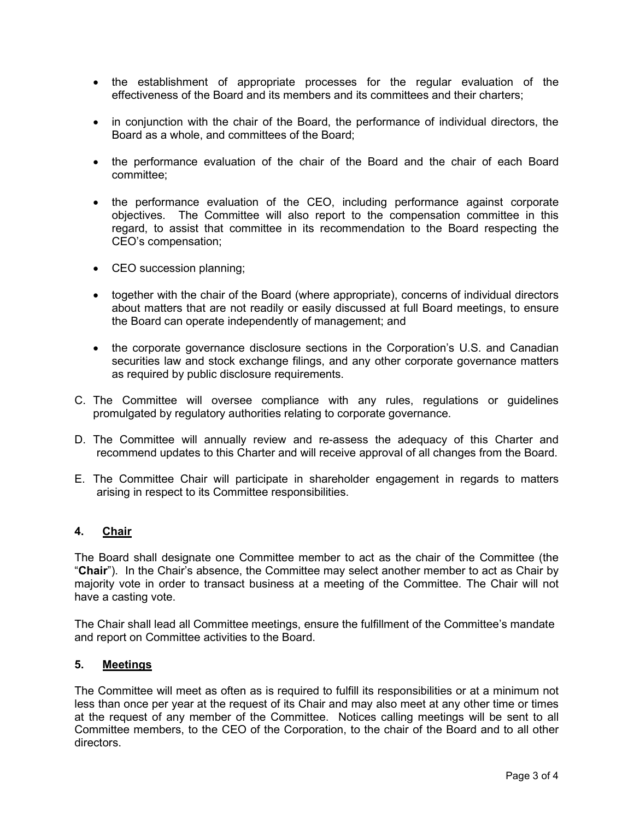- the establishment of appropriate processes for the regular evaluation of the effectiveness of the Board and its members and its committees and their charters;
- in conjunction with the chair of the Board, the performance of individual directors, the Board as a whole, and committees of the Board;
- the performance evaluation of the chair of the Board and the chair of each Board committee;
- the performance evaluation of the CEO, including performance against corporate objectives. The Committee will also report to the compensation committee in this regard, to assist that committee in its recommendation to the Board respecting the CEO's compensation;
- CEO succession planning;
- together with the chair of the Board (where appropriate), concerns of individual directors about matters that are not readily or easily discussed at full Board meetings, to ensure the Board can operate independently of management; and
- the corporate governance disclosure sections in the Corporation's U.S. and Canadian securities law and stock exchange filings, and any other corporate governance matters as required by public disclosure requirements.
- C. The Committee will oversee compliance with any rules, regulations or guidelines promulgated by regulatory authorities relating to corporate governance.
- D. The Committee will annually review and re-assess the adequacy of this Charter and recommend updates to this Charter and will receive approval of all changes from the Board.
- E. The Committee Chair will participate in shareholder engagement in regards to matters arising in respect to its Committee responsibilities.

# 4. Chair

The Board shall designate one Committee member to act as the chair of the Committee (the "Chair"). In the Chair's absence, the Committee may select another member to act as Chair by majority vote in order to transact business at a meeting of the Committee. The Chair will not have a casting vote.

The Chair shall lead all Committee meetings, ensure the fulfillment of the Committee's mandate and report on Committee activities to the Board.

### 5. Meetings

The Committee will meet as often as is required to fulfill its responsibilities or at a minimum not less than once per year at the request of its Chair and may also meet at any other time or times at the request of any member of the Committee. Notices calling meetings will be sent to all Committee members, to the CEO of the Corporation, to the chair of the Board and to all other directors.